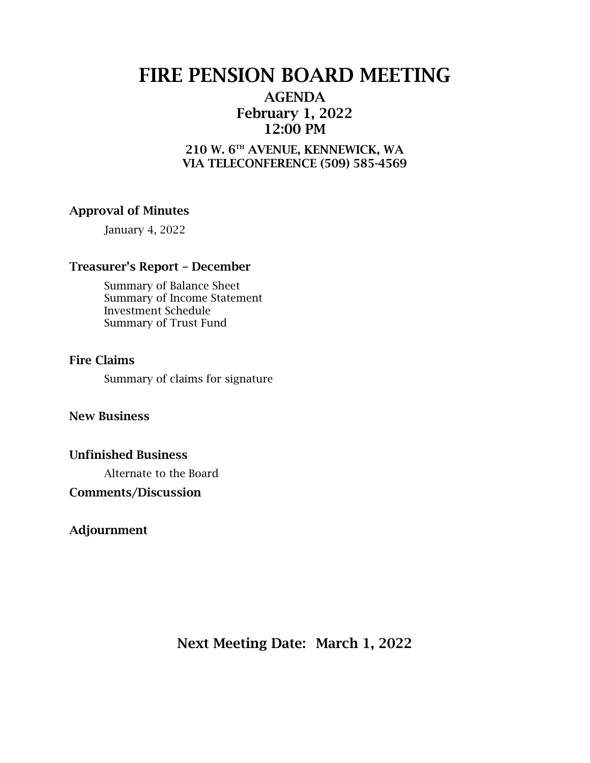# FIRE PENSION BOARD MEETING

### AGENDA February 1, 2022 12:00 PM

### 210 W. 6TH AVENUE, KENNEWICK, WA VIA TELECONFERENCE (509) 585-4569

### Approval of Minutes

January 4, 2022

### Treasurer's Report – December

Summary of Balance Sheet Summary of Income Statement Investment Schedule Summary of Trust Fund

#### Fire Claims

Summary of claims for signature

#### New Business

#### Unfinished Business

Alternate to the Board

#### Comments/Discussion

Adjournment

Next Meeting Date: March 1, 2022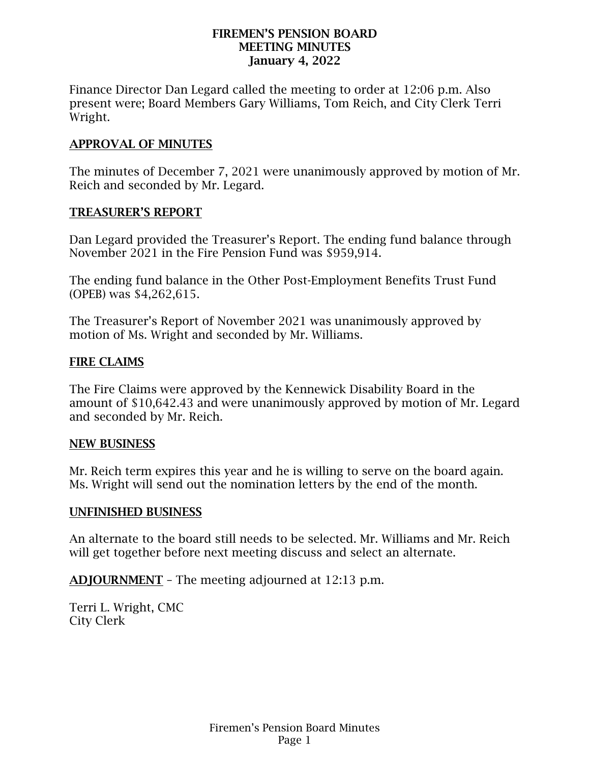#### FIREMEN'S PENSION BOARD MEETING MINUTES January 4, 2022

Finance Director Dan Legard called the meeting to order at 12:06 p.m. Also present were; Board Members Gary Williams, Tom Reich, and City Clerk Terri Wright.

### APPROVAL OF MINUTES

The minutes of December 7, 2021 were unanimously approved by motion of Mr. Reich and seconded by Mr. Legard.

#### TREASURER'S REPORT

Dan Legard provided the Treasurer's Report. The ending fund balance through November 2021 in the Fire Pension Fund was \$959,914.

The ending fund balance in the Other Post-Employment Benefits Trust Fund (OPEB) was \$4,262,615.

The Treasurer's Report of November 2021 was unanimously approved by motion of Ms. Wright and seconded by Mr. Williams.

#### FIRE CLAIMS

The Fire Claims were approved by the Kennewick Disability Board in the amount of \$10,642.43 and were unanimously approved by motion of Mr. Legard and seconded by Mr. Reich.

#### NEW BUSINESS

Mr. Reich term expires this year and he is willing to serve on the board again. Ms. Wright will send out the nomination letters by the end of the month.

#### UNFINISHED BUSINESS

An alternate to the board still needs to be selected. Mr. Williams and Mr. Reich will get together before next meeting discuss and select an alternate.

ADJOURNMENT – The meeting adjourned at 12:13 p.m.

Terri L. Wright, CMC City Clerk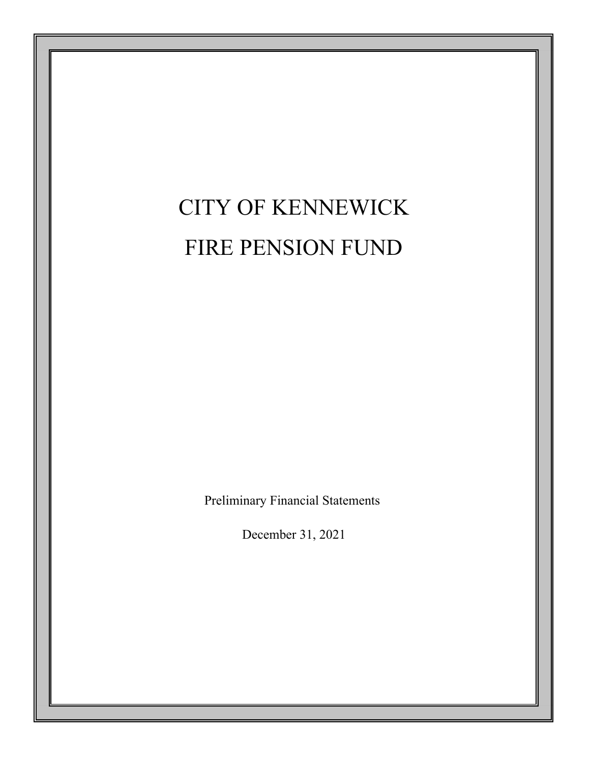# CITY OF KENNEWICK FIRE PENSION FUND

Preliminary Financial Statements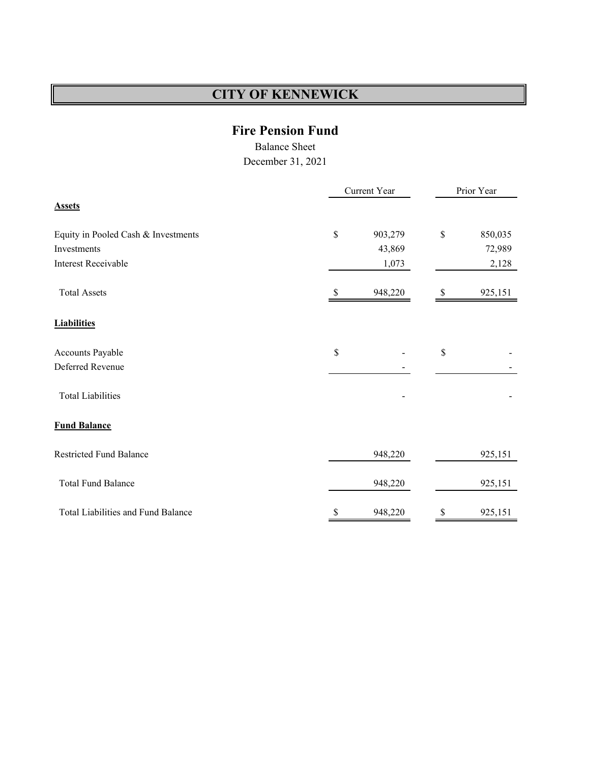### **Fire Pension Fund**

Balance Sheet

|                                     | Current Year |         | Prior Year |         |  |
|-------------------------------------|--------------|---------|------------|---------|--|
| <b>Assets</b>                       |              |         |            |         |  |
| Equity in Pooled Cash & Investments | \$           | 903,279 | \$         | 850,035 |  |
| Investments                         |              | 43,869  |            | 72,989  |  |
| <b>Interest Receivable</b>          |              | 1,073   |            | 2,128   |  |
| <b>Total Assets</b>                 | S            | 948,220 | S          | 925,151 |  |
| <b>Liabilities</b>                  |              |         |            |         |  |
| Accounts Payable                    | \$           |         | \$         |         |  |
| Deferred Revenue                    |              |         |            |         |  |
| <b>Total Liabilities</b>            |              |         |            |         |  |
| <b>Fund Balance</b>                 |              |         |            |         |  |
| <b>Restricted Fund Balance</b>      |              | 948,220 |            | 925,151 |  |
| <b>Total Fund Balance</b>           |              | 948,220 |            | 925,151 |  |
| Total Liabilities and Fund Balance  | \$           | 948,220 | \$         | 925,151 |  |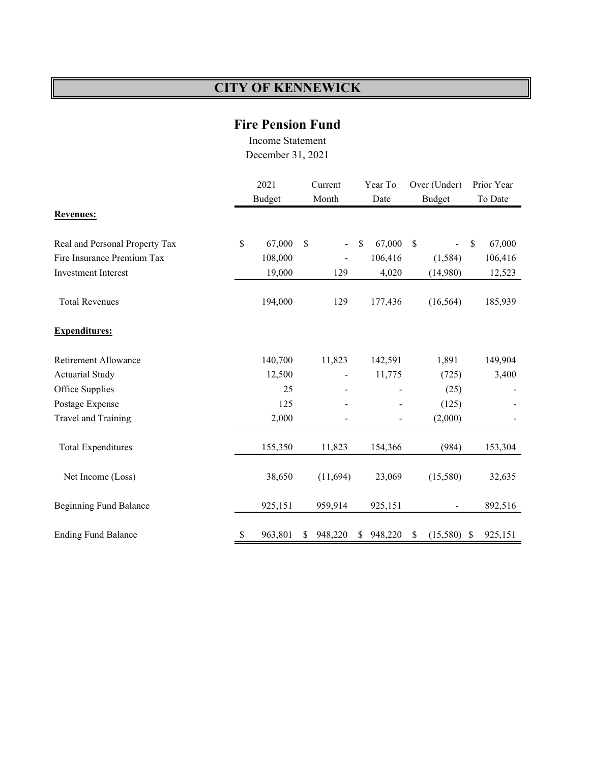# **Fire Pension Fund**

Income Statement

|                                | 2021 |               | Current |                          | Year To |         | Over (Under)  |               | Prior Year |         |
|--------------------------------|------|---------------|---------|--------------------------|---------|---------|---------------|---------------|------------|---------|
|                                |      | <b>Budget</b> |         | Month                    |         | Date    |               | <b>Budget</b> |            | To Date |
| <b>Revenues:</b>               |      |               |         |                          |         |         |               |               |            |         |
| Real and Personal Property Tax | \$   | 67,000        | \$      | $\overline{\phantom{0}}$ | \$      | 67,000  | $\mathcal{S}$ |               | \$         | 67,000  |
| Fire Insurance Premium Tax     |      | 108,000       |         | $\overline{\phantom{0}}$ |         | 106,416 |               | (1, 584)      |            | 106,416 |
| <b>Investment Interest</b>     |      | 19,000        |         | 129                      |         | 4,020   |               | (14,980)      |            | 12,523  |
| <b>Total Revenues</b>          |      | 194,000       |         | 129                      |         | 177,436 |               | (16, 564)     |            | 185,939 |
| <b>Expenditures:</b>           |      |               |         |                          |         |         |               |               |            |         |
| Retirement Allowance           |      | 140,700       |         | 11,823                   |         | 142,591 |               | 1,891         |            | 149,904 |
| <b>Actuarial Study</b>         |      | 12,500        |         |                          |         | 11,775  |               | (725)         |            | 3,400   |
| Office Supplies                |      | 25            |         |                          |         |         |               | (25)          |            |         |
| Postage Expense                |      | 125           |         |                          |         |         |               | (125)         |            |         |
| Travel and Training            |      | 2,000         |         |                          |         |         |               | (2,000)       |            |         |
| <b>Total Expenditures</b>      |      | 155,350       |         | 11,823                   |         | 154,366 |               | (984)         |            | 153,304 |
| Net Income (Loss)              |      | 38,650        |         | (11,694)                 |         | 23,069  |               | (15,580)      |            | 32,635  |
| <b>Beginning Fund Balance</b>  |      | 925,151       |         | 959,914                  |         | 925,151 |               |               |            | 892,516 |
| <b>Ending Fund Balance</b>     | \$   | 963,801       | S       | 948,220                  | \$      | 948,220 | \$            | (15,580)      | -S         | 925,151 |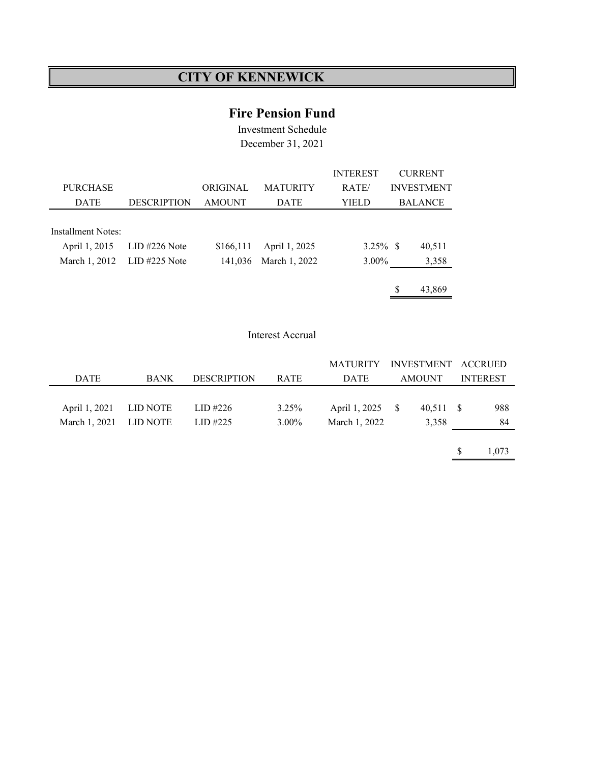### **Fire Pension Fund**

Investment Schedule December 31, 2021

|                    |                             |               |                 | <b>INTEREST</b> |   | <b>CURRENT</b>    |
|--------------------|-----------------------------|---------------|-----------------|-----------------|---|-------------------|
| <b>PURCHASE</b>    |                             | ORIGINAL      | <b>MATURITY</b> | RATE/           |   | <b>INVESTMENT</b> |
| <b>DATE</b>        | <b>DESCRIPTION</b>          | <b>AMOUNT</b> | <b>DATE</b>     | YIEL D          |   | <b>BALANCE</b>    |
|                    |                             |               |                 |                 |   |                   |
| Installment Notes: |                             |               |                 |                 |   |                   |
| April 1, 2015      | $LID$ #226 Note             | \$166,111     | April 1, 2025   | $3.25\%$ \$     |   | 40,511            |
|                    | March 1, 2012 LID #225 Note | 141,036       | March 1, 2022   | $3.00\%$        |   | 3,358             |
|                    |                             |               |                 |                 |   |                   |
|                    |                             |               |                 |                 | S | 43,869            |

#### Interest Accrual

|               |             |                    |             | <b>MATURITY</b>  | INVESTMENT ACCRUED |                 |
|---------------|-------------|--------------------|-------------|------------------|--------------------|-----------------|
| <b>DATE</b>   | <b>BANK</b> | <b>DESCRIPTION</b> | <b>RATE</b> | <b>DATE</b>      | <b>AMOUNT</b>      | <b>INTEREST</b> |
|               |             |                    |             |                  |                    |                 |
| April 1, 2021 | LID NOTE    | LID #226           | 3.25%       | April 1, 2025 \$ | 40,511 \$          | 988             |
| March 1, 2021 | LID NOTE    | LID#225            | $3.00\%$    | March 1, 2022    | 3,358              | 84              |
|               |             |                    |             |                  |                    |                 |

 $$ 1,073$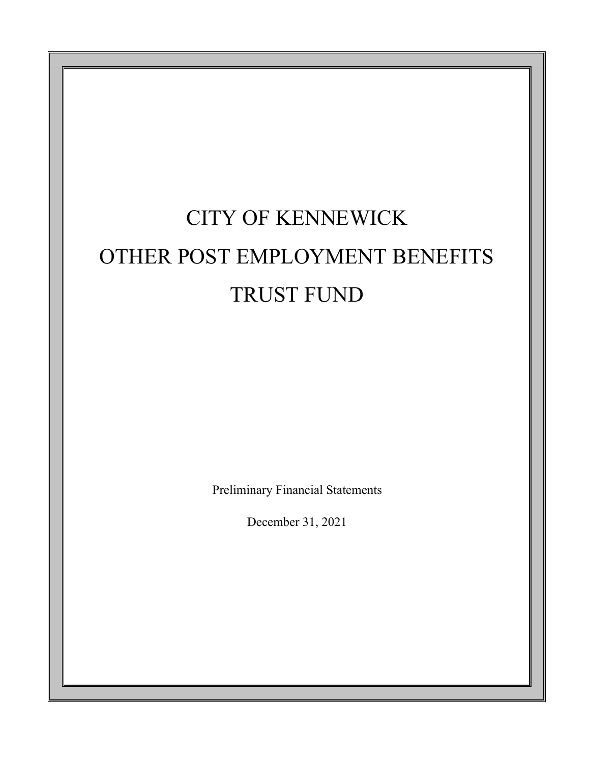# CITY OF KENNEWICK OTHER POST EMPLOYMENT BENEFITS TRUST FUND

Preliminary Financial Statements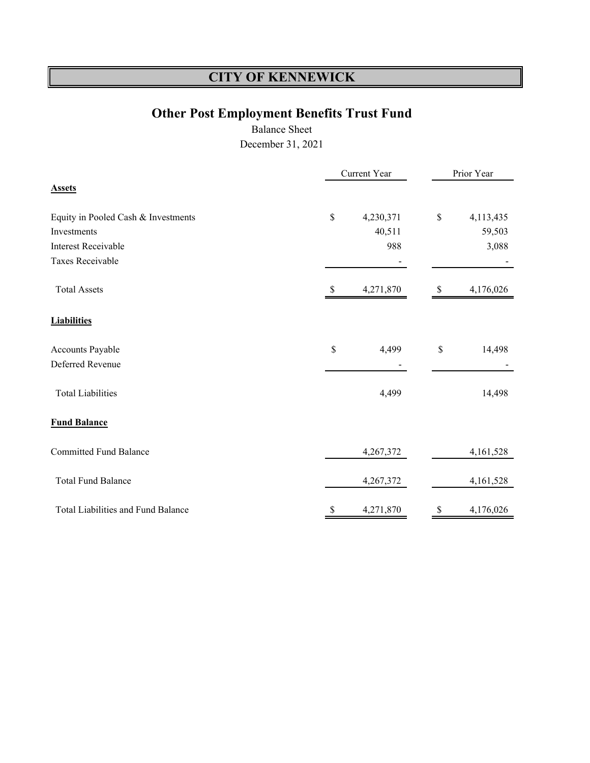# **Other Post Employment Benefits Trust Fund**

Balance Sheet

|                                           |      | Current Year | Prior Year |           |  |  |
|-------------------------------------------|------|--------------|------------|-----------|--|--|
| <b>Assets</b>                             |      |              |            |           |  |  |
| Equity in Pooled Cash & Investments       | $\$$ | 4,230,371    | \$         | 4,113,435 |  |  |
| Investments                               |      | 40,511       |            | 59,503    |  |  |
| <b>Interest Receivable</b>                |      | 988          |            | 3,088     |  |  |
| Taxes Receivable                          |      |              |            |           |  |  |
| <b>Total Assets</b>                       |      | 4,271,870    |            | 4,176,026 |  |  |
| <b>Liabilities</b>                        |      |              |            |           |  |  |
| Accounts Payable                          | \$   | 4,499        | \$         | 14,498    |  |  |
| Deferred Revenue                          |      |              |            |           |  |  |
| <b>Total Liabilities</b>                  |      | 4,499        |            | 14,498    |  |  |
| <b>Fund Balance</b>                       |      |              |            |           |  |  |
| <b>Committed Fund Balance</b>             |      | 4,267,372    |            | 4,161,528 |  |  |
| <b>Total Fund Balance</b>                 |      | 4,267,372    |            | 4,161,528 |  |  |
| <b>Total Liabilities and Fund Balance</b> | S    | 4,271,870    |            | 4,176,026 |  |  |
|                                           |      |              |            |           |  |  |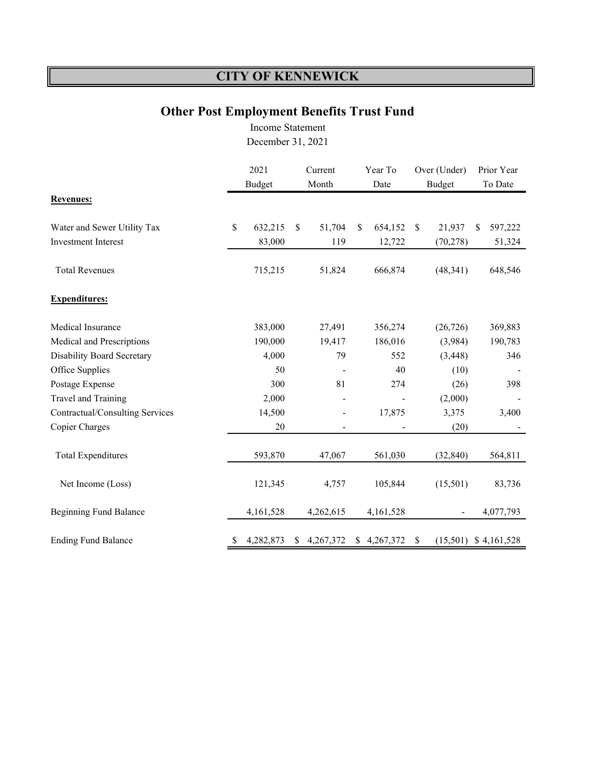## **Other Post Employment Benefits Trust Fund**

Income Statement December 31, 2021

|                                   | 2021<br><b>Budget</b> |           | Current<br>Month |           | Year To<br>Date |             | Over (Under)<br><b>Budget</b> |           | Prior Year<br>To Date |             |
|-----------------------------------|-----------------------|-----------|------------------|-----------|-----------------|-------------|-------------------------------|-----------|-----------------------|-------------|
| <b>Revenues:</b>                  |                       |           |                  |           |                 |             |                               |           |                       |             |
| Water and Sewer Utility Tax       | \$                    | 632,215   | \$               | 51,704    | S               | 654,152     | $\mathbb{S}$                  | 21,937    | \$                    | 597,222     |
| <b>Investment Interest</b>        |                       | 83,000    |                  | 119       |                 | 12,722      |                               | (70, 278) |                       | 51,324      |
| <b>Total Revenues</b>             |                       | 715,215   |                  | 51,824    |                 | 666,874     |                               | (48, 341) |                       | 648,546     |
| <b>Expenditures:</b>              |                       |           |                  |           |                 |             |                               |           |                       |             |
| Medical Insurance                 |                       | 383,000   |                  | 27,491    |                 | 356,274     |                               | (26, 726) |                       | 369,883     |
| Medical and Prescriptions         |                       | 190,000   |                  | 19,417    |                 | 186,016     |                               | (3,984)   |                       | 190,783     |
| <b>Disability Board Secretary</b> |                       | 4,000     |                  | 79        |                 | 552         |                               | (3, 448)  |                       | 346         |
| Office Supplies                   |                       | 50        |                  |           |                 | 40          |                               | (10)      |                       |             |
| Postage Expense                   |                       | 300       |                  | 81        |                 | 274         |                               | (26)      |                       | 398         |
| Travel and Training               |                       | 2,000     |                  |           |                 |             |                               | (2,000)   |                       |             |
| Contractual/Consulting Services   |                       | 14,500    |                  |           |                 | 17,875      |                               | 3,375     |                       | 3,400       |
| Copier Charges                    |                       | 20        |                  |           |                 |             |                               | (20)      |                       |             |
| <b>Total Expenditures</b>         |                       | 593,870   |                  | 47,067    |                 | 561,030     |                               | (32, 840) |                       | 564,811     |
| Net Income (Loss)                 |                       | 121,345   |                  | 4,757     |                 | 105,844     |                               | (15,501)  |                       | 83,736      |
| <b>Beginning Fund Balance</b>     |                       | 4,161,528 |                  | 4,262,615 |                 | 4,161,528   |                               |           |                       | 4,077,793   |
| <b>Ending Fund Balance</b>        | \$                    | 4,282,873 |                  | 4,267,372 |                 | \$4,267,372 | \$                            | (15,501)  |                       | \$4,161,528 |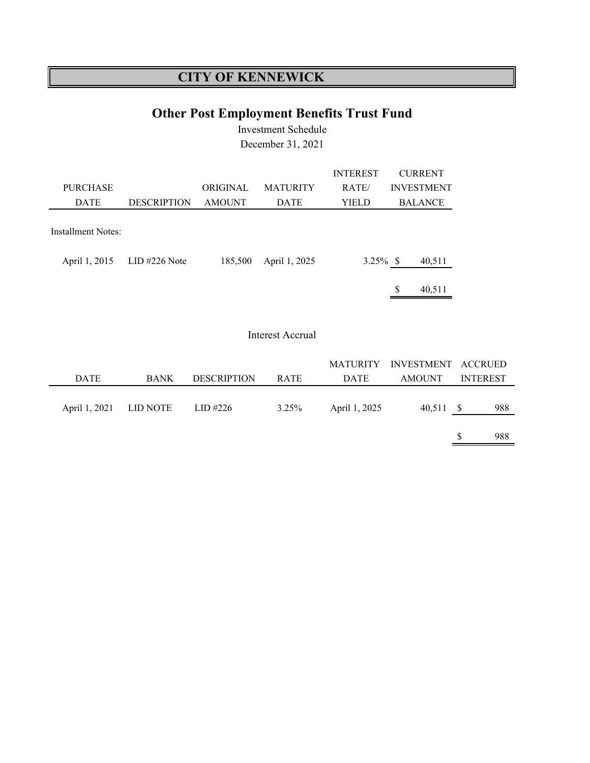# **Other Post Employment Benefits Trust Fund**

Investment Schedule December 31, 2021

|                    |                    |               |                 | <b>INTEREST</b> |   | <b>CURRENT</b>    |
|--------------------|--------------------|---------------|-----------------|-----------------|---|-------------------|
| <b>PURCHASE</b>    |                    | ORIGINAL      | <b>MATURITY</b> | RATE/           |   | <b>INVESTMENT</b> |
| <b>DATE</b>        | <b>DESCRIPTION</b> | <b>AMOUNT</b> | <b>DATE</b>     | YIELD           |   | <b>BALANCE</b>    |
| Installment Notes: |                    |               |                 |                 |   |                   |
| April 1, 2015      | $LID$ #226 Note    | 185,500       | April 1, 2025   | $3.25\%$ \$     |   | 40,511            |
|                    |                    |               |                 |                 | S | 40,511            |

#### Interest Accrual

|               |             |                    |             |               | MATURITY INVESTMENT ACCRUED |      |                 |
|---------------|-------------|--------------------|-------------|---------------|-----------------------------|------|-----------------|
| <b>DATE</b>   | <b>BANK</b> | <b>DESCRIPTION</b> | <b>RATE</b> | DATE          | AMOUNT                      |      | <b>INTEREST</b> |
|               |             |                    |             |               |                             |      |                 |
| April 1, 2021 | LID NOTE    | LID #226           | 3.25%       | April 1, 2025 | 40,511                      | - \$ | 988             |
|               |             |                    |             |               |                             |      |                 |
|               |             |                    |             |               |                             |      | 988             |